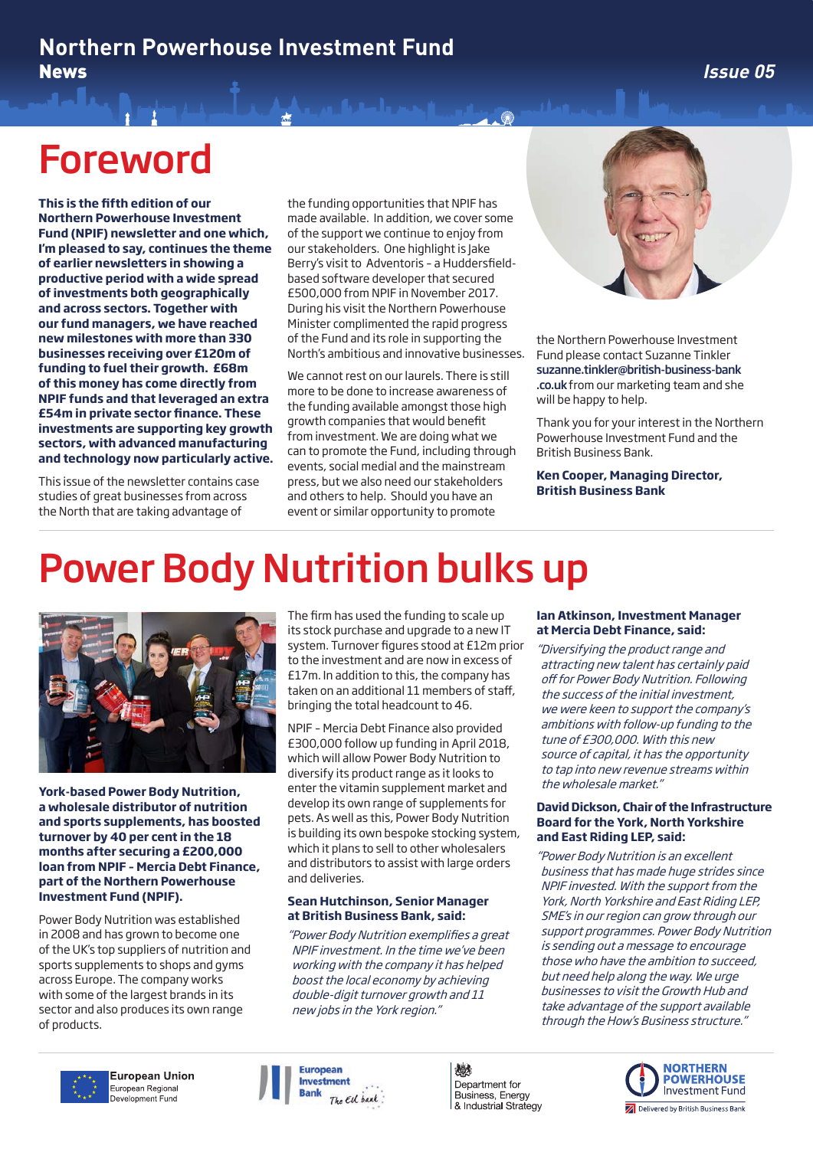## Foreword

**This is the fifth edition of our Northern Powerhouse Investment Fund (NPIF) newsletter and one which, I'm pleased to say, continues the theme of earlier newsletters in showing a productive period with a wide spread of investments both geographically and across sectors. Together with our fund managers, we have reached new milestones with more than 330 businesses receiving over £120m of funding to fuel their growth. £68m of this money has come directly from NPIF funds and that leveraged an extra £54m in private sector finance. These investments are supporting key growth sectors, with advanced manufacturing and technology now particularly active.** 

This issue of the newsletter contains case studies of great businesses from across the North that are taking advantage of

the funding opportunities that NPIF has made available. In addition, we cover some of the support we continue to enjoy from our stakeholders. One highlight is Jake Berry's visit to Adventoris – a Huddersfieldbased software developer that secured £500,000 from NPIF in November 2017. During his visit the Northern Powerhouse Minister complimented the rapid progress of the Fund and its role in supporting the North's ambitious and innovative businesses.

We cannot rest on our laurels. There is still more to be done to increase awareness of the funding available amongst those high growth companies that would benefit from investment. We are doing what we can to promote the Fund, including through events, social medial and the mainstream press, but we also need our stakeholders and others to help. Should you have an event or similar opportunity to promote



the Northern Powerhouse Investment Fund please contact Suzanne Tinkler suzanne.tinkler@british-business-bank .co.uk from our marketing team and she will be happy to help.

Thank you for your interest in the Northern Powerhouse Investment Fund and the British Business Bank.

**Ken Cooper, Managing Director, British Business Bank**

# Power Body Nutrition bulks up



**York-based Power Body Nutrition, a wholesale distributor of nutrition and sports supplements, has boosted turnover by 40 per cent in the 18 months after securing a £200,000 loan from NPIF – Mercia Debt Finance, part of the Northern Powerhouse Investment Fund (NPIF).**

Power Body Nutrition was established in 2008 and has grown to become one of the UK's top suppliers of nutrition and sports supplements to shops and gyms across Europe. The company works with some of the largest brands in its sector and also produces its own range of products.

The firm has used the funding to scale up its stock purchase and upgrade to a new IT system. Turnover figures stood at £12m prior to the investment and are now in excess of £17m. In addition to this, the company has taken on an additional 11 members of staff, bringing the total headcount to 46.

NPIF – Mercia Debt Finance also provided £300,000 follow up funding in April 2018, which will allow Power Body Nutrition to diversify its product range as it looks to enter the vitamin supplement market and develop its own range of supplements for pets. As well as this, Power Body Nutrition is building its own bespoke stocking system, which it plans to sell to other wholesalers and distributors to assist with large orders and deliveries.

#### **Sean Hutchinson, Senior Manager at British Business Bank, said:**

"Power Body Nutrition exemplifies a great NPIF investment. In the time we've been working with the company it has helped boost the local economy by achieving double-digit turnover growth and 11 new jobs in the York region."

#### **Ian Atkinson, Investment Manager at Mercia Debt Finance, said:**

"Diversifying the product range and attracting new talent has certainly paid off for Power Body Nutrition. Following the success of the initial investment, we were keen to support the company's ambitions with follow-up funding to the tune of £300,000. With this new source of capital, it has the opportunity to tap into new revenue streams within the wholesale market."

#### **David Dickson, Chair of the Infrastructure Board for the York, North Yorkshire and East Riding LEP, said:**

"Power Body Nutrition is an excellent business that has made huge strides since NPIF invested. With the support from the York, North Yorkshire and East Riding LEP, SME's in our region can grow through our support programmes. Power Body Nutrition is sending out a message to encourage those who have the ambition to succeed, but need help along the way. We urge businesses to visit the Growth Hub and take advantage of the support available through the How's Business structure."





燃 Department for Business, Energy & Industrial Strategy

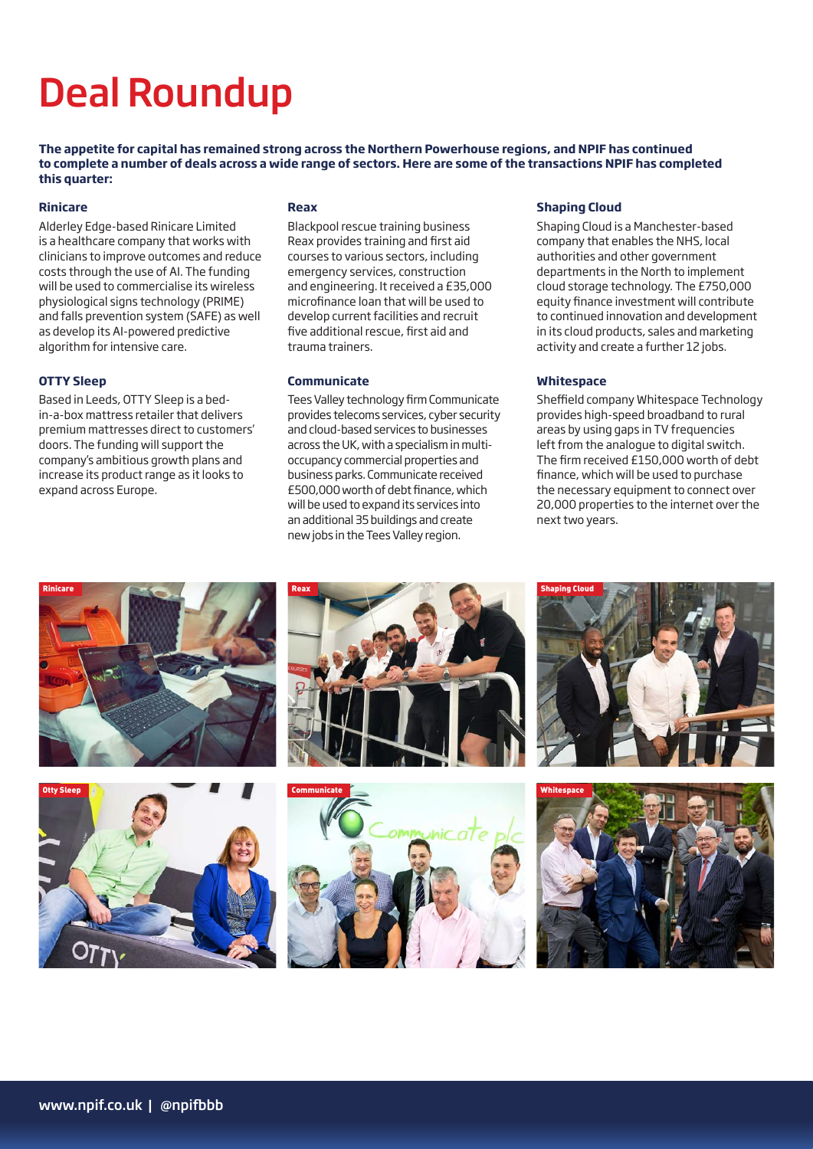# Deal Roundup

**The appetite for capital has remained strong across the Northern Powerhouse regions, and NPIF has continued to complete a number of deals across a wide range of sectors. Here are some of the transactions NPIF has completed this quarter:** 

#### **Rinicare**

Alderley Edge-based Rinicare Limited is a healthcare company that works with clinicians to improve outcomes and reduce costs through the use of AI. The funding will be used to commercialise its wireless physiological signs technology (PRIME) and falls prevention system (SAFE) as well as develop its AI-powered predictive algorithm for intensive care.

#### **OTTY Sleep**

Based in Leeds, OTTY Sleep is a bedin-a-box mattress retailer that delivers premium mattresses direct to customers' doors. The funding will support the company's ambitious growth plans and increase its product range as it looks to expand across Europe.

#### **Reax**

Blackpool rescue training business Reax provides training and first aid courses to various sectors, including emergency services, construction and engineering. It received a £35,000 microfinance loan that will be used to develop current facilities and recruit five additional rescue, first aid and trauma trainers.

#### **Communicate**

Tees Valley technology firm Communicate provides telecoms services, cyber security and cloud-based services to businesses across the UK, with a specialism in multioccupancy commercial properties and business parks. Communicate received £500,000 worth of debt finance, which will be used to expand its services into an additional 35 buildings and create new jobs in the Tees Valley region.

#### **Shaping Cloud**

Shaping Cloud is a Manchester-based company that enables the NHS, local authorities and other government departments in the North to implement cloud storage technology. The £750,000 equity finance investment will contribute to continued innovation and development in its cloud products, sales and marketing activity and create a further 12 jobs.

#### **Whitespace**

Sheffield company Whitespace Technology provides high-speed broadband to rural areas by using gaps in TV frequencies left from the analogue to digital switch. The firm received £150,000 worth of debt finance, which will be used to purchase the necessary equipment to connect over 20,000 properties to the internet over the next two years.

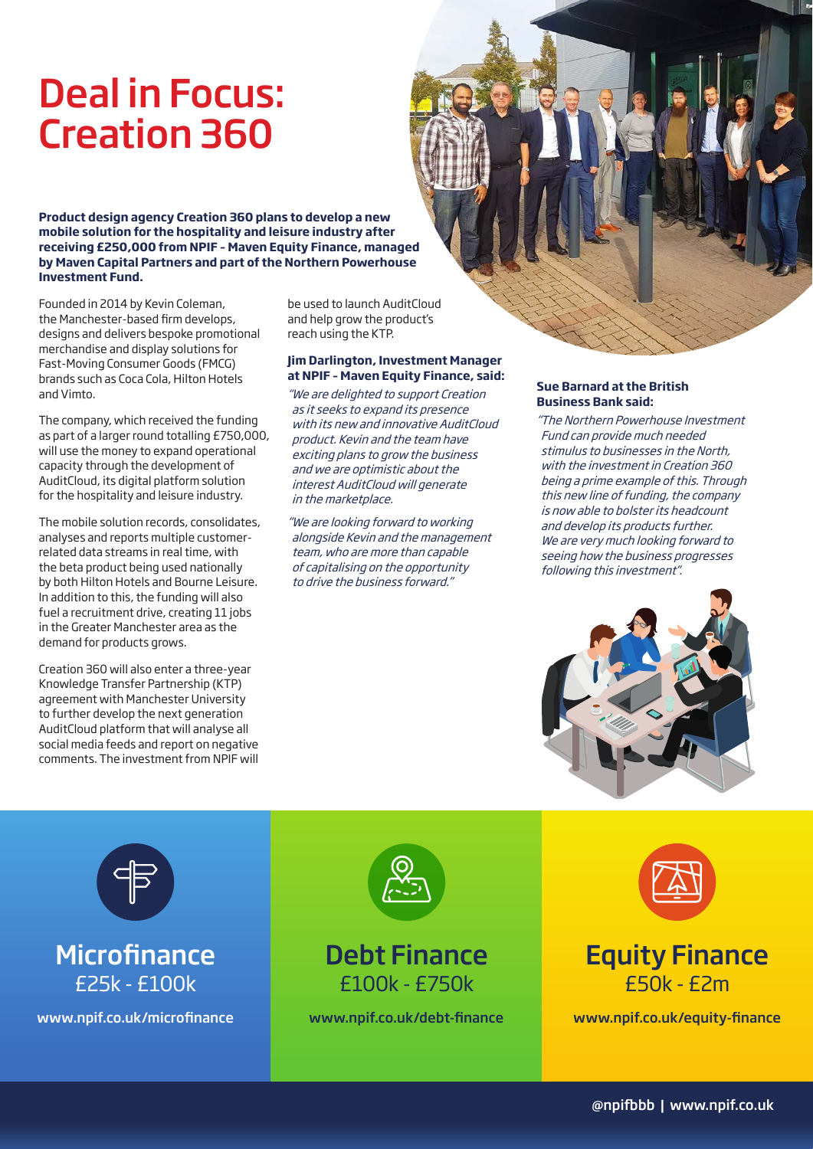## Deal in Focus: Creation 360

**Product design agency Creation 360 plans to develop a new mobile solution for the hospitality and leisure industry after receiving £250,000 from NPIF – Maven Equity Finance, managed by Maven Capital Partners and part of the Northern Powerhouse Investment Fund.** 

Founded in 2014 by Kevin Coleman, the Manchester-based firm develops, designs and delivers bespoke promotional merchandise and display solutions for Fast-Moving Consumer Goods (FMCG) brands such as Coca Cola, Hilton Hotels and Vimto.

The company, which received the funding as part of a larger round totalling £750,000, will use the money to expand operational capacity through the development of AuditCloud, its digital platform solution for the hospitality and leisure industry.

The mobile solution records, consolidates, analyses and reports multiple customerrelated data streams in real time, with the beta product being used nationally by both Hilton Hotels and Bourne Leisure. In addition to this, the funding will also fuel a recruitment drive, creating 11 jobs in the Greater Manchester area as the demand for products grows.

Creation 360 will also enter a three-year Knowledge Transfer Partnership (KTP) agreement with Manchester University to further develop the next generation AuditCloud platform that will analyse all social media feeds and report on negative comments. The investment from NPIF will

be used to launch AuditCloud and help grow the product's reach using the KTP.

#### **Jim Darlington, Investment Manager at NPIF – Maven Equity Finance, said:**

"We are delighted to support Creation as it seeks to expand its presence with its new and innovative AuditCloud product. Kevin and the team have exciting plans to grow the business and we are optimistic about the interest AuditCloud will generate in the marketplace.

"We are looking forward to working alongside Kevin and the management team, who are more than capable of capitalising on the opportunity to drive the business forward."

#### **Sue Barnard at the British Business Bank said:**

"The Northern Powerhouse Investment Fund can provide much needed stimulus to businesses in the North, with the investment in Creation 360 being a prime example of this. Through this new line of funding, the company is now able to bolster its headcount and develop its products further. We are very much looking forward to seeing how the business progresses following this investment".





## **Microfinance** £25k - £100k



### Debt Finance £100k - £750k



## Equity Finance £50k - £2m

www.npif.co.uk/microfinance www.npif.co.uk/debt-finance www.npif.co.uk/equity-finance